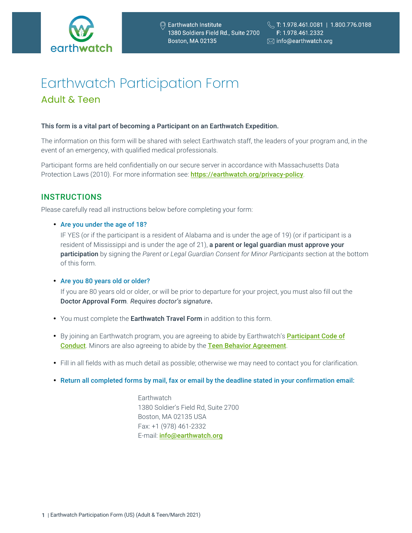

# Earthwatch Participation Form Adult & Teen

#### This form is a vital part of becoming a Participant on an Earthwatch Expedition.

The information on this form will be shared with select Earthwatch staff, the leaders of your program and, in the event of an emergency, with qualified medical professionals.

Participant forms are held confidentially on our secure server in accordance with Massachusetts Data Protection Laws (2010). For more information see: https://earthwatch.org/privacy-policy.

### **INSTRUCTIONS**

Please carefully read all instructions below before completing your form:

• Are you under the age of 18?

IF YES (or if the participant is a resident of Alabama and is under the age of 19) (or if participant is a resident of Mississippi and is under the age of 21), a parent or legal guardian must approve your participation by signing the *Parent or Legal Guardian Consent for Minor Participants* section at the bottom of this form.

#### • Are you 80 years old or older?

If you are 80 years old or older, or will be prior to departure for your project, you must also fill out the Doctor Approval Form. *Requires doctor's signature.*

- You must complete the Earthwatch Travel Form in addition to this form.
- By joining an Earthwatch program, you are agreeing to abide by Earthwatch's [Participant Code of](https://earthwatch.org/terms-and-conditions/participant-code-conduct) [Conduct](https://earthwatch.org/terms-and-conditions/participant-code-conduct). Minors are also agreeing to abide by the [Teen Behavior Agreement](https://earthwatch.org/terms-and-conditions//teen-behavior-agreement).
- Fill in all fields with as much detail as possible; otherwise we may need to contact you for clarification.
- Return all completed forms by mail, fax or email by the deadline stated in your confirmation email:

**Earthwatch** 1380 Soldier's Field Rd, Suite 2700 Boston, MA 02135 USA Fax: +1 (978) 461-2332 E-mail: *info@earthwatch.org*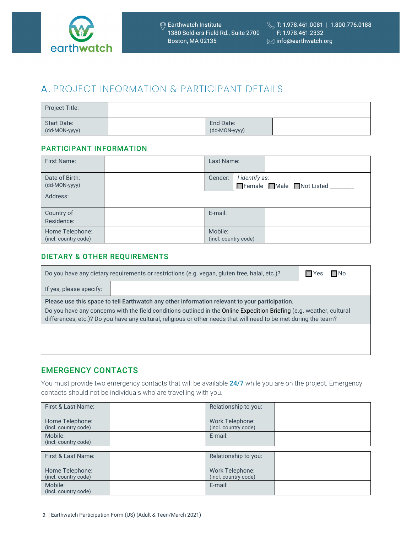

# A. PROJECT INFORMATION & PARTICIPANT DETAILS

| <b>Project Title:</b>        |                            |  |
|------------------------------|----------------------------|--|
| Start Date:<br>(dd-MON-yyyy) | End Date:<br>(dd-MON-yyyy) |  |

### PARTICIPANT INFORMATION

| <b>First Name:</b>                      | Last Name:                      |                |                                |
|-----------------------------------------|---------------------------------|----------------|--------------------------------|
| Date of Birth:<br>(dd-MON-yyyy)         | Gender:                         | I identify as: | Female Male Not Listed _______ |
| Address:                                |                                 |                |                                |
| Country of<br>Residence:                | E-mail:                         |                |                                |
| Home Telephone:<br>(incl. country code) | Mobile:<br>(incl. country code) |                |                                |

### DIETARY & OTHER REQUIREMENTS

| Do you have any dietary requirements or restrictions (e.g. vegan, gluten free, halal, etc.)?<br>$\Box$ Yes<br>ΠNo                                                                                                                         |  |  |  |  |
|-------------------------------------------------------------------------------------------------------------------------------------------------------------------------------------------------------------------------------------------|--|--|--|--|
| If yes, please specify:                                                                                                                                                                                                                   |  |  |  |  |
| Please use this space to tell Earthwatch any other information relevant to your participation.                                                                                                                                            |  |  |  |  |
| Do you have any concerns with the field conditions outlined in the Online Expedition Briefing (e.g. weather, cultural<br>differences, etc.)? Do you have any cultural, religious or other needs that will need to be met during the team? |  |  |  |  |
|                                                                                                                                                                                                                                           |  |  |  |  |
|                                                                                                                                                                                                                                           |  |  |  |  |

### EMERGENCY CONTACTS

You must provide two emergency contacts that will be available 24/7 while you are on the project. Emergency contacts should not be individuals who are travelling with you.

| First & Last Name:                      | Relationship to you:                    |  |
|-----------------------------------------|-----------------------------------------|--|
| Home Telephone:<br>(incl. country code) | Work Telephone:<br>(incl. country code) |  |
| Mobile:<br>(incl. country code)         | E-mail:                                 |  |
|                                         |                                         |  |
| First & Last Name:                      | Relationship to you:                    |  |
| Home Telephone:<br>(incl. country code) | Work Telephone:<br>(incl. country code) |  |
| Mobile:<br>(incl. country code)         | E-mail:                                 |  |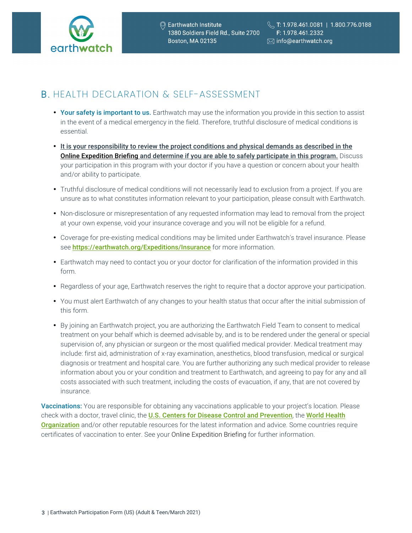

## B . HEALTH DECLARATION & SELF-ASSESSMENT

- Your safety is important to us. Earthwatch may use the information you provide in this section to assist in the event of a medical emergency in the field. Therefore, truthful disclosure of medical conditions is essential.
- It is your responsibility to review the project conditions and physical demands as described in the Online Expedition Briefing and determine if you are able to safely participate in this program. Discuss your participation in this program with your doctor if you have a question or concern about your health and/or ability to participate.
- Truthful disclosure of medical conditions will not necessarily lead to exclusion from a project. If you are unsure as to what constitutes information relevant to your participation, please consult with Earthwatch.
- Non-disclosure or misrepresentation of any requested information may lead to removal from the project at your own expense, void your insurance coverage and you will not be eligible for a refund.
- Coverage for pre-existing medical conditions may be limited under Earthwatch's travel insurance. Please see https://earthwatch.org/Expeditions/Insurance for more information.
- Earthwatch may need to contact you or your doctor for clarification of the information provided in this form.
- Regardless of your age, Earthwatch reserves the right to require that a doctor approve your participation.
- You must alert Earthwatch of any changes to your health status that occur after the initial submission of this form.
- By joining an Earthwatch project, you are authorizing the Earthwatch Field Team to consent to medical treatment on your behalf which is deemed advisable by, and is to be rendered under the general or special supervision of, any physician or surgeon or the most qualified medical provider. Medical treatment may include: first aid, administration of x-ray examination, anesthetics, blood transfusion, medical or surgical diagnosis or treatment and hospital care. You are further authorizing any such medical provider to release information about you or your condition and treatment to Earthwatch, and agreeing to pay for any and all costs associated with such treatment, including the costs of evacuation, if any, that are not covered by insurance.

Vaccinations: You are responsible for obtaining any vaccinations applicable to your project's location. Please check with a doctor, travel clinic, the [U.S. Centers for Disease Control and Prevention](https://www.cdc.gov/), the World Health **[Organization](https://www.who.int/)** and/or other reputable resources for the latest information and advice. Some countries require certificates of vaccination to enter. See your Online Expedition Briefing for further information.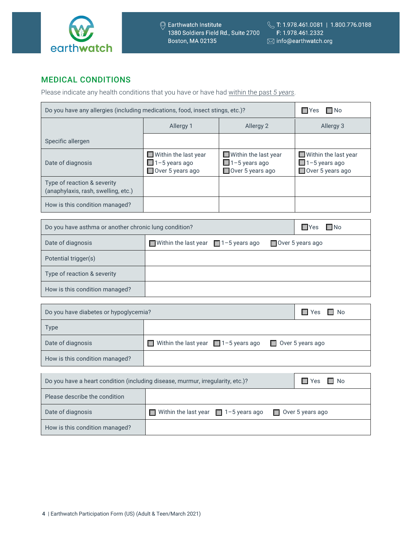

### MEDICAL CONDITIONS

Please indicate any health conditions that you have or have had within the past *5 years*.

| Do you have any allergies (including medications, food, insect stings, etc.)? | $\Box$ No<br>¶Yes                                                                      |                                                                                 |                                                                                 |
|-------------------------------------------------------------------------------|----------------------------------------------------------------------------------------|---------------------------------------------------------------------------------|---------------------------------------------------------------------------------|
|                                                                               | Allergy 1                                                                              | Allergy 2                                                                       | Allergy 3                                                                       |
| Specific allergen                                                             |                                                                                        |                                                                                 |                                                                                 |
| Date of diagnosis                                                             | $\blacksquare$ Within the last year<br>$\Box$ 1-5 years ago<br>$\Box$ Over 5 years ago | $\blacksquare$ Within the last year<br>$\Box$ 1-5 years ago<br>Over 5 years ago | $\blacksquare$ Within the last year<br>$\Box$ 1-5 years ago<br>Over 5 years ago |
| Type of reaction & severity<br>(anaphylaxis, rash, swelling, etc.)            |                                                                                        |                                                                                 |                                                                                 |
| How is this condition managed?                                                |                                                                                        |                                                                                 |                                                                                 |

| Do you have asthma or another chronic lung condition? | $\square$ No<br>$\Box$ Yes                |                         |
|-------------------------------------------------------|-------------------------------------------|-------------------------|
| Date of diagnosis                                     | Within the last year $\Box$ 1-5 years ago | $\Box$ Over 5 years ago |
| Potential trigger(s)                                  |                                           |                         |
| Type of reaction & severity                           |                                           |                         |
| How is this condition managed?                        |                                           |                         |

| Do you have diabetes or hypoglycemia? |                                                                                |                         | $\Box$ Yes<br>$\Box$ No |
|---------------------------------------|--------------------------------------------------------------------------------|-------------------------|-------------------------|
| <b>Type</b>                           |                                                                                |                         |                         |
| Date of diagnosis                     | <b>Within the last year</b> $\sqrt{ }1-5$ years ago                            | $\Box$ Over 5 years ago |                         |
| How is this condition managed?        |                                                                                |                         |                         |
|                                       |                                                                                |                         |                         |
|                                       | Do you have a heart condition (including disease, murmur, irregularity, etc.)? |                         | ΠYes ΠNo                |
| Please describe the condition         |                                                                                |                         |                         |
| Date of diagnosis                     | Within the last year $\Box$ 1-5 years ago<br>п                                 | Over 5 years ago        |                         |
|                                       |                                                                                |                         |                         |

How is this condition managed?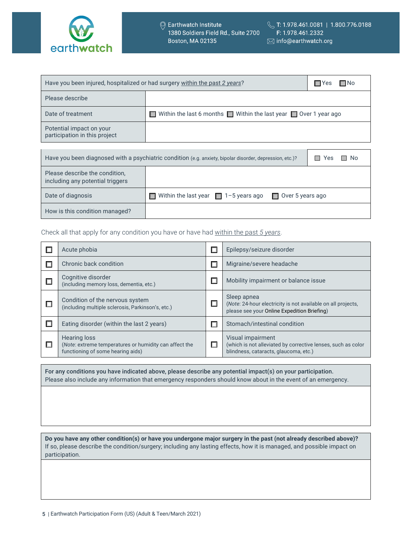

| Have you been injured, hospitalized or had surgery within the past 2 years?                                             | $\Box$ Yes<br>l⊟No                                                     |  |  |
|-------------------------------------------------------------------------------------------------------------------------|------------------------------------------------------------------------|--|--|
| Please describe                                                                                                         |                                                                        |  |  |
| Date of treatment                                                                                                       | <b>Within the last 6 months Within the last year 1</b> Over 1 year ago |  |  |
| Potential impact on your<br>participation in this project                                                               |                                                                        |  |  |
|                                                                                                                         |                                                                        |  |  |
| Have you been diagnosed with a psychiatric condition (e.g. anxiety, bipolar disorder, depression, etc.)?<br>□ No<br>Yes |                                                                        |  |  |
| Dlogge deceribe the condition                                                                                           |                                                                        |  |  |

| Please describe the condition.<br>including any potential triggers |                                                        |                         |
|--------------------------------------------------------------------|--------------------------------------------------------|-------------------------|
| Date of diagnosis                                                  | <b>Notai</b> Within the last year $\Box$ 1-5 years ago | $\Box$ Over 5 years ago |
| How is this condition managed?                                     |                                                        |                         |

Check all that apply for any condition you have or have had within the past *5 years*.

| Acute phobia                                                                                                | Epilepsy/seizure disorder                                                                                                  |
|-------------------------------------------------------------------------------------------------------------|----------------------------------------------------------------------------------------------------------------------------|
| Chronic back condition                                                                                      | Migraine/severe headache                                                                                                   |
| Cognitive disorder<br>(including memory loss, dementia, etc.)                                               | Mobility impairment or balance issue                                                                                       |
| Condition of the nervous system<br>(including multiple sclerosis, Parkinson's, etc.)                        | Sleep apnea<br>(Note: 24-hour electricity is not available on all projects,<br>please see your Online Expedition Briefing) |
| Eating disorder (within the last 2 years)                                                                   | Stomach/intestinal condition                                                                                               |
| Hearing loss<br>(Note: extreme temperatures or humidity can affect the<br>functioning of some hearing aids) | Visual impairment<br>(which is not alleviated by corrective lenses, such as color<br>blindness, cataracts, glaucoma, etc.) |

For any conditions you have indicated above, please describe any potential impact(s) on your participation. Please also include any information that emergency responders should know about in the event of an emergency.

**Do you have any other condition(s) or have you undergone major surgery in the past (not already described above)?** If so, please describe the condition/surgery; including any lasting effects, how it is managed, and possible impact on participation.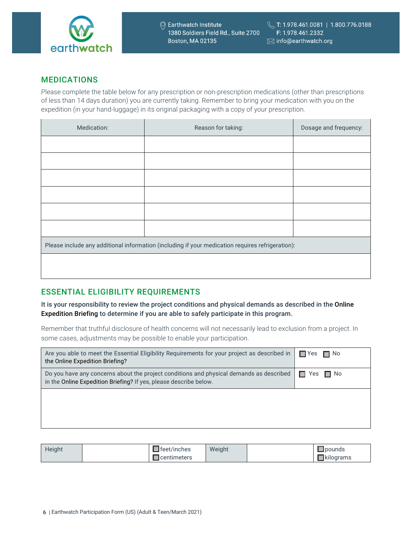

### MEDICATIONS

Please complete the table below for any prescription or non-prescription medications (other than prescriptions of less than 14 days duration) you are currently taking. Remember to bring your medication with you on the expedition (in your hand-luggage) in its original packaging with a copy of your prescription.

| Medication: | Reason for taking:                                                                               | Dosage and frequency: |
|-------------|--------------------------------------------------------------------------------------------------|-----------------------|
|             |                                                                                                  |                       |
|             |                                                                                                  |                       |
|             |                                                                                                  |                       |
|             |                                                                                                  |                       |
|             |                                                                                                  |                       |
|             |                                                                                                  |                       |
|             | Please include any additional information (including if your medication requires refrigeration): |                       |
|             |                                                                                                  |                       |
|             |                                                                                                  |                       |

## ESSENTIAL ELIGIBILITY REQUIREMENTS

It is your responsibility to review the project conditions and physical demands as described in the Online Expedition Briefing to determine if you are able to safely participate in this program.

Remember that truthful disclosure of health concerns will not necessarily lead to exclusion from a project. In some cases, adjustments may be possible to enable your participation.

| Are you able to meet the Essential Eligibility Requirements for your project as described in<br>the Online Expedition Briefing?                              | $\Box$ Yes $\Box$ No |
|--------------------------------------------------------------------------------------------------------------------------------------------------------------|----------------------|
| Do you have any concerns about the project conditions and physical demands as described<br>in the Online Expedition Briefing? If yes, please describe below. | $\Box$ Yes $\Box$ No |
|                                                                                                                                                              |                      |
|                                                                                                                                                              |                      |

| Height | . .<br>teet/inches | Weight | <u> pounds</u>        |
|--------|--------------------|--------|-----------------------|
|        | centimeters        |        | <b>Kilograms</b><br>ີ |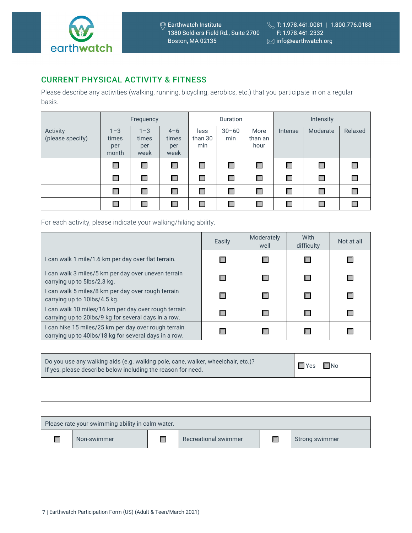

### CURRENT PHYSICAL ACTIVITY & FITNESS

Please describe any activities (walking, running, bicycling, aerobics, etc.) that you participate in on a regular basis.

|                              | Frequency                        |                                 | <b>Duration</b>                 |                        | Intensity        |                         |         |          |         |
|------------------------------|----------------------------------|---------------------------------|---------------------------------|------------------------|------------------|-------------------------|---------|----------|---------|
| Activity<br>(please specify) | $1 - 3$<br>times<br>per<br>month | $1 - 3$<br>times<br>per<br>week | $4 - 6$<br>times<br>per<br>week | less<br>than 30<br>min | $30 - 60$<br>min | More<br>than an<br>hour | Intense | Moderate | Relaxed |
|                              | Π                                | П                               | $\Box$                          | П                      | П                | Г                       | $\Box$  | П        |         |
|                              | П                                | Г                               | П                               | П                      | $\Box$           | П                       | $\Box$  | П        |         |
|                              |                                  | Г                               | $\Box$                          | $\Box$                 | П                | Г                       | П       |          |         |
|                              |                                  | Г                               | П                               | Г                      |                  | Г                       | П       |          |         |

For each activity, please indicate your walking/hiking ability.

|                                                                                                               | Easily | Moderately<br>well | With<br>difficulty | Not at all |
|---------------------------------------------------------------------------------------------------------------|--------|--------------------|--------------------|------------|
| I can walk 1 mile/1.6 km per day over flat terrain.                                                           |        |                    |                    |            |
| I can walk 3 miles/5 km per day over uneven terrain<br>carrying up to 5lbs/2.3 kg.                            |        |                    |                    |            |
| can walk 5 miles/8 km per day over rough terrain<br>carrying up to 10lbs/4.5 kg.                              |        |                    |                    |            |
| I can walk 10 miles/16 km per day over rough terrain<br>carrying up to 20lbs/9 kg for several days in a row.  |        |                    |                    |            |
| I can hike 15 miles/25 km per day over rough terrain<br>carrying up to 40lbs/18 kg for several days in a row. |        |                    |                    |            |

| Do you use any walking aids (e.g. walking pole, cane, walker, wheelchair, etc.)?<br>If yes, please describe below including the reason for need. | $\blacksquare$ Yes | $\Box$ No |  |
|--------------------------------------------------------------------------------------------------------------------------------------------------|--------------------|-----------|--|
|                                                                                                                                                  |                    |           |  |

| Please rate your swimming ability in calm water. |             |  |                      |  |                |  |
|--------------------------------------------------|-------------|--|----------------------|--|----------------|--|
|                                                  | Non-swimmer |  | Recreational swimmer |  | Strong swimmer |  |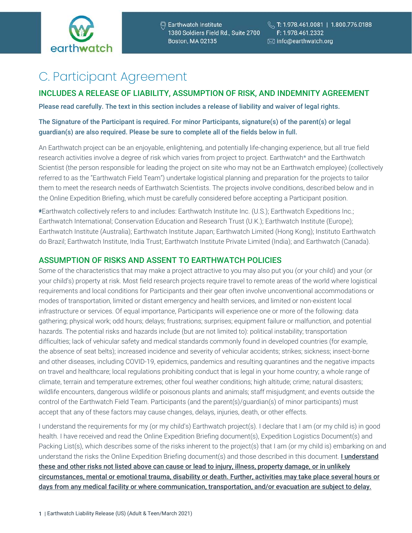

# C. Participant Agreement

### INCLUDES A RELEASE OF LIABILITY, ASSUMPTION OF RISK, AND INDEMNITY AGREEMENT

Please read carefully. The text in this section includes a release of liability and waiver of legal rights.

### The Signature of the Participant is required. For minor Participants, signature(s) of the parent(s) or legal guardian(s) are also required. Please be sure to complete all of the fields below in full.

An Earthwatch project can be an enjoyable, enlightening, and potentially life-changing experience, but all true field research activities involve a degree of risk which varies from project to project. Earthwatch\* and the Earthwatch Scientist (the person responsible for leading the project on site who may not be an Earthwatch employee) (collectively referred to as the "Earthwatch Field Team") undertake logistical planning and preparation for the projects to tailor them to meet the research needs of Earthwatch Scientists. The projects involve conditions, described below and in the Online Expedition Briefing, which must be carefully considered before accepting a Participant position.

\*\*Earthwatch collectively refers to and includes: Earthwatch Institute Inc. (U.S.); Earthwatch Expeditions Inc.; Earthwatch International; Conservation Education and Research Trust (U.K.); Earthwatch Institute (Europe); Earthwatch Institute (Australia); Earthwatch Institute Japan; Earthwatch Limited (Hong Kong); Instituto Earthwatch do Brazil; Earthwatch Institute, India Trust; Earthwatch Institute Private Limited (India); and Earthwatch (Canada).

### ASSUMPTION OF RISKS AND ASSENT TO EARTHWATCH POLICIES

Some of the characteristics that may make a project attractive to you may also put you (or your child) and your (or your child's) property at risk. Most field research projects require travel to remote areas of the world where logistical requirements and local conditions for Participants and their gear often involve unconventional accommodations or modes of transportation, limited or distant emergency and health services, and limited or non-existent local infrastructure or services. Of equal importance, Participants will experience one or more of the following: data gathering; physical work; odd hours; delays; frustrations; surprises; equipment failure or malfunction, and potential hazards. The potential risks and hazards include (but are not limited to): political instability; transportation difficulties; lack of vehicular safety and medical standards commonly found in developed countries (for example, the absence of seat belts); increased incidence and severity of vehicular accidents; strikes; sickness; insect-borne and other diseases, including COVID-19, epidemics, pandemics and resulting quarantines and the negative impacts on travel and healthcare; local regulations prohibiting conduct that is legal in your home country; a whole range of climate, terrain and temperature extremes; other foul weather conditions; high altitude; crime; natural disasters; wildlife encounters, dangerous wildlife or poisonous plants and animals; staff misjudgment; and events outside the control of the Earthwatch Field Team. Participants (and the parent(s)/guardian(s) of minor participants) must accept that any of these factors may cause changes, delays, injuries, death, or other effects.

I understand the requirements for my (or my child's) Earthwatch project(s). I declare that I am (or my child is) in good health. I have received and read the Online Expedition Briefing document(s), Expedition Logistics Document(s) and Packing List(s), which describes some of the risks inherent to the project(s) that I am (or my child is) embarking on and understand the risks the Online Expedition Briefing document(s) and those described in this document. I understand these and other risks not listed above can cause or lead to injury, illness, property damage, or in unlikely circumstances, mental or emotional trauma, disability or death. Further, activities may take place several hours or days from any medical facility or where communication, transportation, and/or evacuation are subject to delay.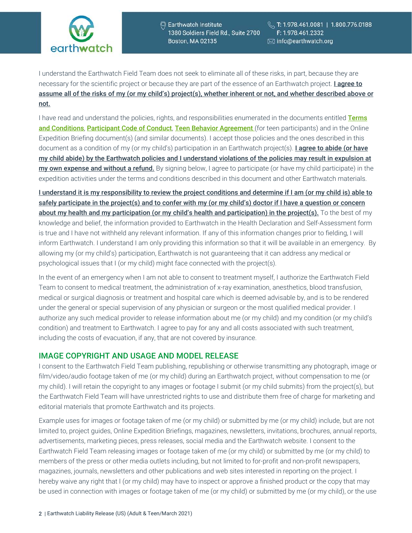

© Earthwatch Institute 1380 Soldiers Field Rd., Suite 2700 **Boston, MA 02135** 

I understand the Earthwatch Field Team does not seek to eliminate all of these risks, in part, because they are necessary for the scientific project or because they are part of the essence of an Earthwatch project. I agree to assume all of the risks of my (or my child's) project(s), whether inherent or not, and whether described above or not.

I have read and understand the policies, rights, and responsibilities enumerated in the documents entitled Terms [and Conditions](https://earthwatch.org/terms-and-conditions), [Participant Code of Conduct](https://earthwatch.org/Terms-and-Conditions/Participant-Code-of-Conduct), [Teen Behavior Agreement](https://earthwatch.org/Terms-and-Conditions/Teen-Behavior-Agreement) (for teen participants) and in the Online Expedition Briefing document(s) (and similar documents). I accept those policies and the ones described in this document as a condition of my (or my child's) participation in an Earthwatch project(s). **Lagree to abide (or have** my child abide) by the Earthwatch policies and I understand violations of the policies may result in expulsion at my own expense and without a refund. By signing below, I agree to participate (or have my child participate) in the expedition activities under the terms and conditions described in this document and other Earthwatch materials.

I understand it is my responsibility to review the project conditions and determine if I am (or my child is) able to safely participate in the project(s) and to confer with my (or my child's) doctor if I have a question or concern about my health and my participation (or my child's health and participation) in the project(s). To the best of my knowledge and belief, the information provided to Earthwatch in the Health Declaration and Self-Assessment form is true and I have not withheld any relevant information. If any of this information changes prior to fielding, I will inform Earthwatch. I understand I am only providing this information so that it will be available in an emergency. By allowing my (or my child's) participation, Earthwatch is not guaranteeing that it can address any medical or psychological issues that I (or my child) might face connected with the project(s).

In the event of an emergency when I am not able to consent to treatment myself, I authorize the Earthwatch Field Team to consent to medical treatment, the administration of x-ray examination, anesthetics, blood transfusion, medical or surgical diagnosis or treatment and hospital care which is deemed advisable by, and is to be rendered under the general or special supervision of any physician or surgeon or the most qualified medical provider. I authorize any such medical provider to release information about me (or my child) and my condition (or my child's condition) and treatment to Earthwatch. I agree to pay for any and all costs associated with such treatment, including the costs of evacuation, if any, that are not covered by insurance.

### IMAGE COPYRIGHT AND USAGE AND MODEL RELEASE

I consent to the Earthwatch Field Team publishing, republishing or otherwise transmitting any photograph, image or film/video/audio footage taken of me (or my child) during an Earthwatch project, without compensation to me (or my child). I will retain the copyright to any images or footage I submit (or my child submits) from the project(s), but the Earthwatch Field Team will have unrestricted rights to use and distribute them free of charge for marketing and editorial materials that promote Earthwatch and its projects.

Example uses for images or footage taken of me (or my child) or submitted by me (or my child) include, but are not limited to, project guides, Online Expedition Briefings, magazines, newsletters, invitations, brochures, annual reports, advertisements, marketing pieces, press releases, social media and the Earthwatch website. I consent to the Earthwatch Field Team releasing images or footage taken of me (or my child) or submitted by me (or my child) to members of the press or other media outlets including, but not limited to for-profit and non-profit newspapers, magazines, journals, newsletters and other publications and web sites interested in reporting on the project. I hereby waive any right that I (or my child) may have to inspect or approve a finished product or the copy that may be used in connection with images or footage taken of me (or my child) or submitted by me (or my child), or the use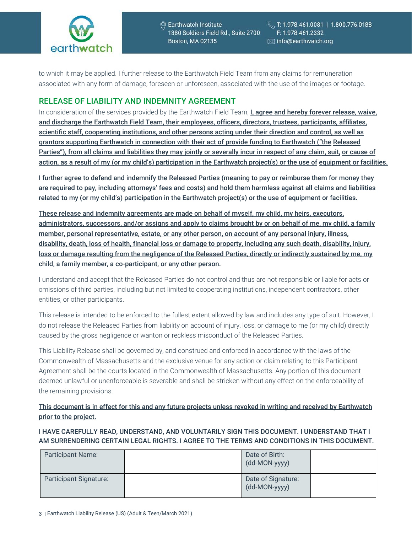

to which it may be applied. I further release to the Earthwatch Field Team from any claims for remuneration associated with any form of damage, foreseen or unforeseen, associated with the use of the images or footage.

### RELEASE OF LIABILITY AND INDEMNITY AGREEMENT

In consideration of the services provided by the Earthwatch Field Team, I, agree and hereby forever release, waive, and discharge the Earthwatch Field Team, their employees, officers, directors, trustees, participants, affiliates, scientific staff, cooperating institutions, and other persons acting under their direction and control, as well as grantors supporting Earthwatch in connection with their act of provide funding to Earthwatch ("the Released Parties"), from all claims and liabilities they may jointly or severally incur in respect of any claim, suit, or cause of action, as a result of my (or my child's) participation in the Earthwatch project(s) or the use of equipment or facilities.

I further agree to defend and indemnify the Released Parties (meaning to pay or reimburse them for money they are required to pay, including attorneys' fees and costs) and hold them harmless against all claims and liabilities related to my (or my child's) participation in the Earthwatch project(s) or the use of equipment or facilities.

These release and indemnity agreements are made on behalf of myself, my child, my heirs, executors, administrators, successors, and/or assigns and apply to claims brought by or on behalf of me, my child, a family member, personal representative, estate, or any other person, on account of any personal injury, illness, disability, death, loss of health, financial loss or damage to property, including any such death, disability, injury, loss or damage resulting from the negligence of the Released Parties, directly or indirectly sustained by me, my child, a family member, a co-participant, or any other person.

I understand and accept that the Released Parties do not control and thus are not responsible or liable for acts or omissions of third parties, including but not limited to cooperating institutions, independent contractors, other entities, or other participants.

This release is intended to be enforced to the fullest extent allowed by law and includes any type of suit. However, I do not release the Released Parties from liability on account of injury, loss, or damage to me (or my child) directly caused by the gross negligence or wanton or reckless misconduct of the Released Parties.

This Liability Release shall be governed by, and construed and enforced in accordance with the laws of the Commonwealth of Massachusetts and the exclusive venue for any action or claim relating to this Participant Agreement shall be the courts located in the Commonwealth of Massachusetts. Any portion of this document deemed unlawful or unenforceable is severable and shall be stricken without any effect on the enforceability of the remaining provisions.

This document is in effect for this and any future projects unless revoked in writing and received by Earthwatch prior to the project.

I HAVE CAREFULLY READ, UNDERSTAND, AND VOLUNTARILY SIGN THIS DOCUMENT. I UNDERSTAND THAT I AM SURRENDERING CERTAIN LEGAL RIGHTS. I AGREE TO THE TERMS AND CONDITIONS IN THIS DOCUMENT.

| <b>Participant Name:</b> | Date of Birth:<br>(dd-MON-yyyy)     |  |
|--------------------------|-------------------------------------|--|
| Participant Signature:   | Date of Signature:<br>(dd-MON-yyyy) |  |